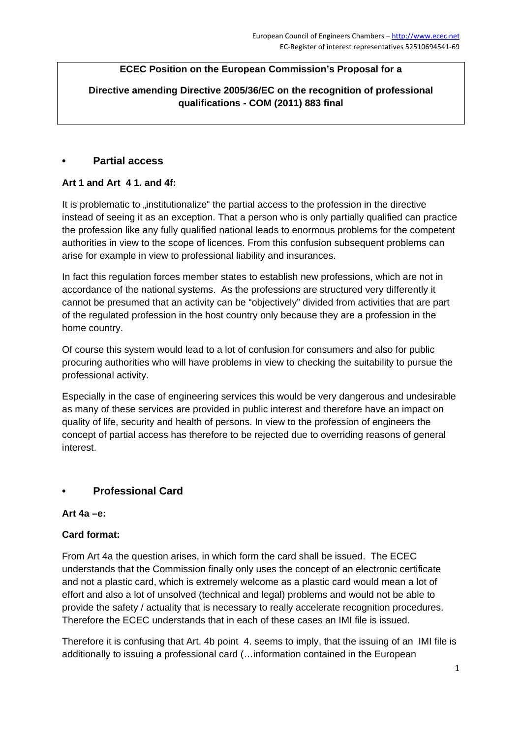## **ECEC Position on the European Commission's Proposal for a**

**Directive amending Directive 2005/36/EC on the recognition of professional qualifications - COM (2011) 883 final** 

### **• Partial access**

### **Art 1 and Art 4 1. and 4f:**

It is problematic to "institutionalize" the partial access to the profession in the directive instead of seeing it as an exception. That a person who is only partially qualified can practice the profession like any fully qualified national leads to enormous problems for the competent authorities in view to the scope of licences. From this confusion subsequent problems can arise for example in view to professional liability and insurances.

In fact this regulation forces member states to establish new professions, which are not in accordance of the national systems. As the professions are structured very differently it cannot be presumed that an activity can be "objectively" divided from activities that are part of the regulated profession in the host country only because they are a profession in the home country.

Of course this system would lead to a lot of confusion for consumers and also for public procuring authorities who will have problems in view to checking the suitability to pursue the professional activity.

Especially in the case of engineering services this would be very dangerous and undesirable as many of these services are provided in public interest and therefore have an impact on quality of life, security and health of persons. In view to the profession of engineers the concept of partial access has therefore to be rejected due to overriding reasons of general interest.

## **• Professional Card**

#### **Art 4a –e:**

#### **Card format:**

From Art 4a the question arises, in which form the card shall be issued. The ECEC understands that the Commission finally only uses the concept of an electronic certificate and not a plastic card, which is extremely welcome as a plastic card would mean a lot of effort and also a lot of unsolved (technical and legal) problems and would not be able to provide the safety / actuality that is necessary to really accelerate recognition procedures. Therefore the ECEC understands that in each of these cases an IMI file is issued.

Therefore it is confusing that Art. 4b point 4. seems to imply, that the issuing of an IMI file is additionally to issuing a professional card (…information contained in the European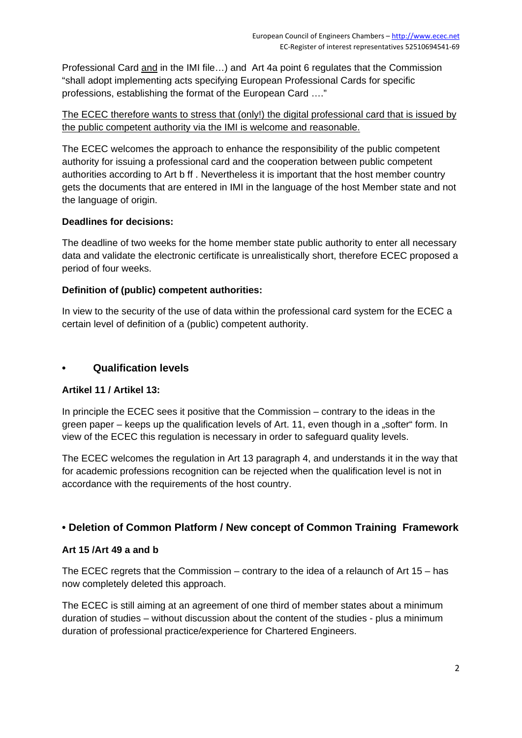Professional Card and in the IMI file...) and Art 4a point 6 regulates that the Commission "shall adopt implementing acts specifying European Professional Cards for specific professions, establishing the format of the European Card …."

### The ECEC therefore wants to stress that (only!) the digital professional card that is issued by the public competent authority via the IMI is welcome and reasonable.

The ECEC welcomes the approach to enhance the responsibility of the public competent authority for issuing a professional card and the cooperation between public competent authorities according to Art b ff . Nevertheless it is important that the host member country gets the documents that are entered in IMI in the language of the host Member state and not the language of origin.

## **Deadlines for decisions:**

The deadline of two weeks for the home member state public authority to enter all necessary data and validate the electronic certificate is unrealistically short, therefore ECEC proposed a period of four weeks.

## **Definition of (public) competent authorities:**

In view to the security of the use of data within the professional card system for the ECEC a certain level of definition of a (public) competent authority.

### **• Qualification levels**

#### **Artikel 11 / Artikel 13:**

In principle the ECEC sees it positive that the Commission – contrary to the ideas in the green paper – keeps up the qualification levels of Art. 11, even though in a "softer" form. In view of the ECEC this regulation is necessary in order to safeguard quality levels.

The ECEC welcomes the regulation in Art 13 paragraph 4, and understands it in the way that for academic professions recognition can be rejected when the qualification level is not in accordance with the requirements of the host country.

## **• Deletion of Common Platform / New concept of Common Training Framework**

#### **Art 15 /Art 49 a and b**

The ECEC regrets that the Commission – contrary to the idea of a relaunch of Art 15 – has now completely deleted this approach.

The ECEC is still aiming at an agreement of one third of member states about a minimum duration of studies – without discussion about the content of the studies - plus a minimum duration of professional practice/experience for Chartered Engineers.